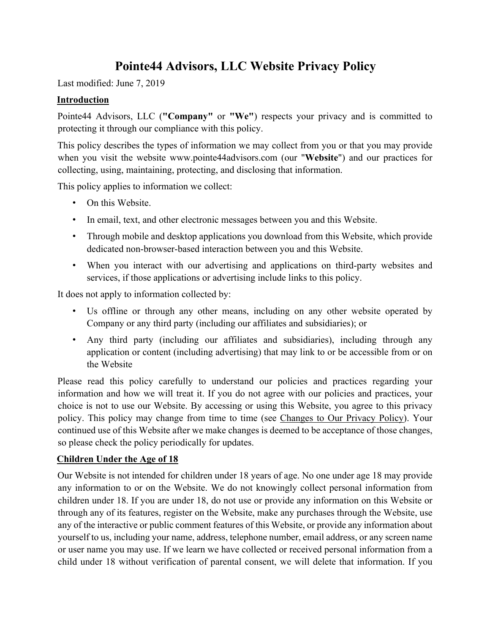# **Pointe44 Advisors, LLC Website Privacy Policy**

Last modified: June 7, 2019

### **Introduction**

Pointe44 Advisors, LLC (**"Company"** or **"We"**) respects your privacy and is committed to protecting it through our compliance with this policy.

This policy describes the types of information we may collect from you or that you may provide when you visit the website www.pointe44advisors.com (our "**Website**") and our practices for collecting, using, maintaining, protecting, and disclosing that information.

This policy applies to information we collect:

- On this Website.
- In email, text, and other electronic messages between you and this Website.
- Through mobile and desktop applications you download from this Website, which provide dedicated non-browser-based interaction between you and this Website.
- When you interact with our advertising and applications on third-party websites and services, if those applications or advertising include links to this policy.

It does not apply to information collected by:

- Us offline or through any other means, including on any other website operated by Company or any third party (including our affiliates and subsidiaries); or
- Any third party (including our affiliates and subsidiaries), including through any application or content (including advertising) that may link to or be accessible from or on the Website

Please read this policy carefully to understand our policies and practices regarding your information and how we will treat it. If you do not agree with our policies and practices, your choice is not to use our Website. By accessing or using this Website, you agree to this privacy policy. This policy may change from time to time (see Changes to Our Privacy Policy). Your continued use of this Website after we make changes is deemed to be acceptance of those changes, so please check the policy periodically for updates.

### **Children Under the Age of 18**

Our Website is not intended for children under 18 years of age. No one under age 18 may provide any information to or on the Website. We do not knowingly collect personal information from children under 18. If you are under 18, do not use or provide any information on this Website or through any of its features, register on the Website, make any purchases through the Website, use any of the interactive or public comment features of this Website, or provide any information about yourself to us, including your name, address, telephone number, email address, or any screen name or user name you may use. If we learn we have collected or received personal information from a child under 18 without verification of parental consent, we will delete that information. If you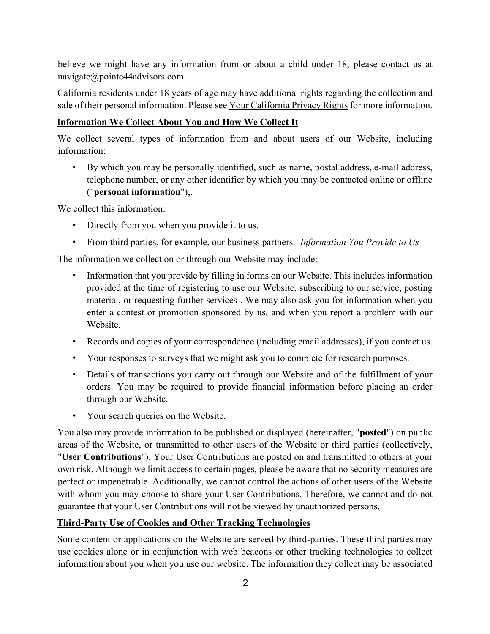believe we might have any information from or about a child under 18, please contact us at navigate@pointe44advisors.com.

California residents under 18 years of age may have additional rights regarding the collection and sale of their personal information. Please see Your California Privacy Rights for more information.

## **Information We Collect About You and How We Collect It**

We collect several types of information from and about users of our Website, including information:

• By which you may be personally identified, such as name, postal address, e-mail address, telephone number, or any other identifier by which you may be contacted online or offline ("**personal information**");.

We collect this information:

- Directly from you when you provide it to us.
- From third parties, for example, our business partners. *Information You Provide to Us*

The information we collect on or through our Website may include:

- Information that you provide by filling in forms on our Website. This includes information provided at the time of registering to use our Website, subscribing to our service, posting material, or requesting further services . We may also ask you for information when you enter a contest or promotion sponsored by us, and when you report a problem with our Website.
- Records and copies of your correspondence (including email addresses), if you contact us.
- Your responses to surveys that we might ask you to complete for research purposes.
- Details of transactions you carry out through our Website and of the fulfillment of your orders. You may be required to provide financial information before placing an order through our Website.
- Your search queries on the Website.

You also may provide information to be published or displayed (hereinafter, "**posted**") on public areas of the Website, or transmitted to other users of the Website or third parties (collectively, "**User Contributions**"). Your User Contributions are posted on and transmitted to others at your own risk. Although we limit access to certain pages, please be aware that no security measures are perfect or impenetrable. Additionally, we cannot control the actions of other users of the Website with whom you may choose to share your User Contributions. Therefore, we cannot and do not guarantee that your User Contributions will not be viewed by unauthorized persons.

#### **Third-Party Use of Cookies and Other Tracking Technologies**

Some content or applications on the Website are served by third-parties. These third parties may use cookies alone or in conjunction with web beacons or other tracking technologies to collect information about you when you use our website. The information they collect may be associated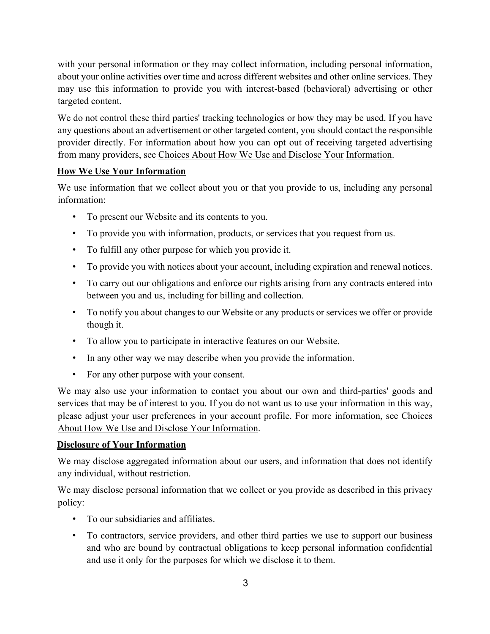with your personal information or they may collect information, including personal information, about your online activities over time and across different websites and other online services. They may use this information to provide you with interest-based (behavioral) advertising or other targeted content.

We do not control these third parties' tracking technologies or how they may be used. If you have any questions about an advertisement or other targeted content, you should contact the responsible provider directly. For information about how you can opt out of receiving targeted advertising from many providers, see Choices About How We Use and Disclose Your Information.

## **How We Use Your Information**

We use information that we collect about you or that you provide to us, including any personal information:

- To present our Website and its contents to you.
- To provide you with information, products, or services that you request from us.
- To fulfill any other purpose for which you provide it.
- To provide you with notices about your account, including expiration and renewal notices.
- To carry out our obligations and enforce our rights arising from any contracts entered into between you and us, including for billing and collection.
- To notify you about changes to our Website or any products or services we offer or provide though it.
- To allow you to participate in interactive features on our Website.
- In any other way we may describe when you provide the information.
- For any other purpose with your consent.

We may also use your information to contact you about our own and third-parties' goods and services that may be of interest to you. If you do not want us to use your information in this way, please adjust your user preferences in your account profile. For more information, see Choices About How We Use and Disclose Your Information.

### **Disclosure of Your Information**

We may disclose aggregated information about our users, and information that does not identify any individual, without restriction.

We may disclose personal information that we collect or you provide as described in this privacy policy:

- To our subsidiaries and affiliates.
- To contractors, service providers, and other third parties we use to support our business and who are bound by contractual obligations to keep personal information confidential and use it only for the purposes for which we disclose it to them.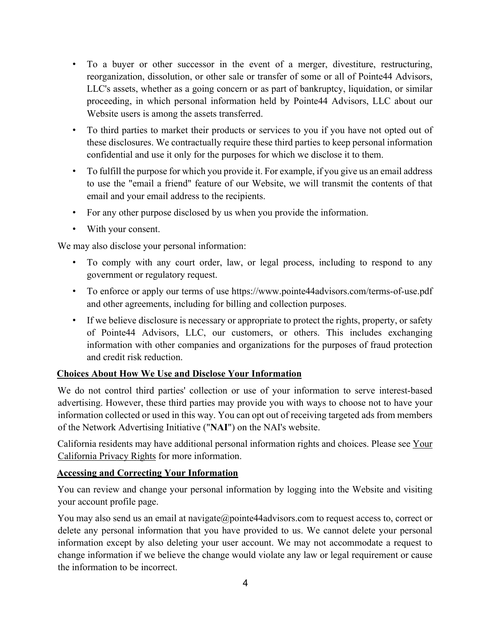- To a buyer or other successor in the event of a merger, divestiture, restructuring, reorganization, dissolution, or other sale or transfer of some or all of Pointe44 Advisors, LLC's assets, whether as a going concern or as part of bankruptcy, liquidation, or similar proceeding, in which personal information held by Pointe44 Advisors, LLC about our Website users is among the assets transferred.
- To third parties to market their products or services to you if you have not opted out of these disclosures. We contractually require these third parties to keep personal information confidential and use it only for the purposes for which we disclose it to them.
- To fulfill the purpose for which you provide it. For example, if you give us an email address to use the "email a friend" feature of our Website, we will transmit the contents of that email and your email address to the recipients.
- For any other purpose disclosed by us when you provide the information.
- With your consent.

We may also disclose your personal information:

- To comply with any court order, law, or legal process, including to respond to any government or regulatory request.
- To enforce or apply our terms of use https://www.pointe44advisors.com/terms-of-use.pdf and other agreements, including for billing and collection purposes.
- If we believe disclosure is necessary or appropriate to protect the rights, property, or safety of Pointe44 Advisors, LLC, our customers, or others. This includes exchanging information with other companies and organizations for the purposes of fraud protection and credit risk reduction.

### **Choices About How We Use and Disclose Your Information**

We do not control third parties' collection or use of your information to serve interest-based advertising. However, these third parties may provide you with ways to choose not to have your information collected or used in this way. You can opt out of receiving targeted ads from members of the Network Advertising Initiative ("**NAI**") on the NAI's website.

California residents may have additional personal information rights and choices. Please see Your California Privacy Rights for more information.

### **Accessing and Correcting Your Information**

You can review and change your personal information by logging into the Website and visiting your account profile page.

You may also send us an email at navigate@pointe44advisors.com to request access to, correct or delete any personal information that you have provided to us. We cannot delete your personal information except by also deleting your user account. We may not accommodate a request to change information if we believe the change would violate any law or legal requirement or cause the information to be incorrect.